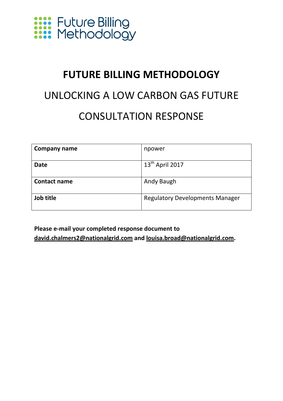

### **FUTURE BILLING METHODOLOGY**

## UNLOCKING A LOW CARBON GAS FUTURE CONSULTATION RESPONSE

| <b>Company name</b> | npower                                 |
|---------------------|----------------------------------------|
| <b>Date</b>         | $13^{\text{th}}$ April 2017            |
|                     |                                        |
| <b>Contact name</b> | Andy Baugh                             |
|                     |                                        |
| Job title           | <b>Regulatory Developments Manager</b> |
|                     |                                        |

**Please e-mail your completed response document to [david.chalmers2@nationalgrid.com](mailto:david.chalmers2@nationalgrid.com) and [louisa.broad@nationalgrid.com.](mailto:louisa.broad@nationalgrid.com)**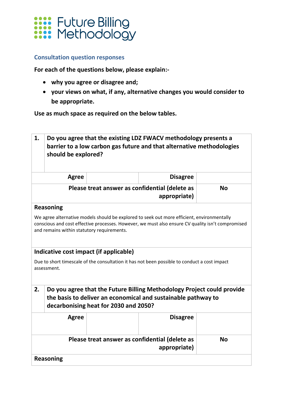

#### **Consultation question responses**

**For each of the questions below, please explain:-**

- **why you agree or disagree and;**
- **your views on what, if any, alternative changes you would consider to be appropriate.**

**Use as much space as required on the below tables.**

|                                                                                                                                                                                                                                               | 1.<br>Do you agree that the existing LDZ FWACV methodology presents a<br>barrier to a low carbon gas future and that alternative methodologies<br>should be explored? |                                        |                                                                        |           |
|-----------------------------------------------------------------------------------------------------------------------------------------------------------------------------------------------------------------------------------------------|-----------------------------------------------------------------------------------------------------------------------------------------------------------------------|----------------------------------------|------------------------------------------------------------------------|-----------|
|                                                                                                                                                                                                                                               | <b>Agree</b>                                                                                                                                                          |                                        | <b>Disagree</b>                                                        |           |
| Please treat answer as confidential (delete as<br>appropriate)                                                                                                                                                                                |                                                                                                                                                                       |                                        | <b>No</b>                                                              |           |
|                                                                                                                                                                                                                                               | <b>Reasoning</b>                                                                                                                                                      |                                        |                                                                        |           |
| We agree alternative models should be explored to seek out more efficient, environmentally<br>conscious and cost effective processes. However, we must also ensure CV quality isn't compromised<br>and remains within statutory requirements. |                                                                                                                                                                       |                                        |                                                                        |           |
|                                                                                                                                                                                                                                               |                                                                                                                                                                       | Indicative cost impact (if applicable) |                                                                        |           |
| Due to short timescale of the consultation it has not been possible to conduct a cost impact<br>assessment.                                                                                                                                   |                                                                                                                                                                       |                                        |                                                                        |           |
| 2.                                                                                                                                                                                                                                            |                                                                                                                                                                       |                                        | Do you agree that the Future Billing Methodology Project could provide |           |
|                                                                                                                                                                                                                                               | the basis to deliver an economical and sustainable pathway to<br>decarbonising heat for 2030 and 2050?                                                                |                                        |                                                                        |           |
|                                                                                                                                                                                                                                               | <b>Agree</b>                                                                                                                                                          |                                        | <b>Disagree</b>                                                        |           |
|                                                                                                                                                                                                                                               |                                                                                                                                                                       |                                        | Please treat answer as confidential (delete as<br>appropriate)         | <b>No</b> |
|                                                                                                                                                                                                                                               | <b>Reasoning</b>                                                                                                                                                      |                                        |                                                                        |           |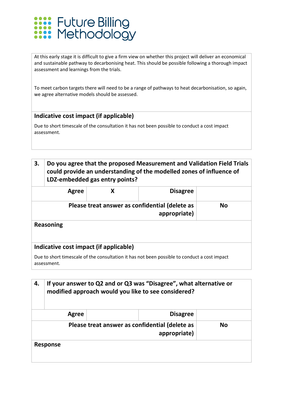

At this early stage it is difficult to give a firm view on whether this project will deliver an economical and sustainable pathway to decarbonising heat. This should be possible following a thorough impact assessment and learnings from the trials.

To meet carbon targets there will need to be a range of pathways to heat decarbonisation, so again, we agree alternative models should be assessed.

#### **Indicative cost impact (if applicable)**

Due to short timescale of the consultation it has not been possible to conduct a cost impact assessment.

#### **3. Do you agree that the proposed Measurement and Validation Field Trials could provide an understanding of the modelled zones of influence of LDZ-embedded gas entry points?**

|                                                                                                             | Agree |                                        | <b>Disagree</b>                                                |           |
|-------------------------------------------------------------------------------------------------------------|-------|----------------------------------------|----------------------------------------------------------------|-----------|
|                                                                                                             |       |                                        | Please treat answer as confidential (delete as<br>appropriate) | <b>No</b> |
| <b>Reasoning</b>                                                                                            |       |                                        |                                                                |           |
|                                                                                                             |       | Indicative cost impact (if applicable) |                                                                |           |
| Due to short timescale of the consultation it has not been possible to conduct a cost impact<br>assessment. |       |                                        |                                                                |           |

| 4. | If your answer to Q2 and or Q3 was "Disagree", what alternative or<br>modified approach would you like to see considered? |                                                                |           |  |
|----|---------------------------------------------------------------------------------------------------------------------------|----------------------------------------------------------------|-----------|--|
|    | Agree                                                                                                                     | <b>Disagree</b>                                                |           |  |
|    |                                                                                                                           | Please treat answer as confidential (delete as<br>appropriate) | <b>No</b> |  |
|    | <b>Response</b>                                                                                                           |                                                                |           |  |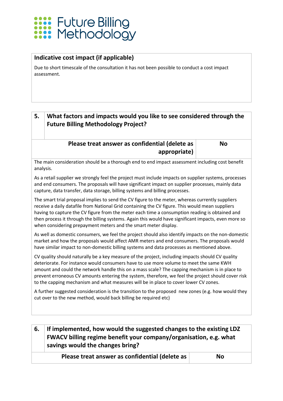# **XXXX** Future Billing<br>XXXX Methodology

#### **Indicative cost impact (if applicable)**

Due to short timescale of the consultation it has not been possible to conduct a cost impact assessment.

#### **5. What factors and impacts would you like to see considered through the Future Billing Methodology Project?**

#### **Please treat answer as confidential (delete as appropriate)**

**No**

The main consideration should be a thorough end to end impact assessment including cost benefit analysis.

As a retail supplier we strongly feel the project must include impacts on supplier systems, processes and end consumers. The proposals will have significant impact on supplier processes, mainly data capture, data transfer, data storage, billing systems and billing processes.

The smart trial proposal implies to send the CV figure to the meter, whereas currently suppliers receive a daily datafile from National Grid containing the CV figure. This would mean suppliers having to capture the CV figure from the meter each time a consumption reading is obtained and then process it through the billing systems. Again this would have significant impacts, even more so when considering prepayment meters and the smart meter display.

As well as domestic consumers, we feel the project should also identify impacts on the non-domestic market and how the proposals would affect AMR meters and end consumers. The proposals would have similar impact to non-domestic billing systems and data processes as mentioned above.

CV quality should naturally be a key measure of the project, including impacts should CV quality deteriorate. For instance would consumers have to use more volume to meet the same KWH amount and could the network handle this on a mass scale? The capping mechanism is in place to prevent erroneous CV amounts entering the system, therefore, we feel the project should cover risk to the capping mechanism and what measures will be in place to cover lower CV zones.

A further suggested consideration is the transition to the proposed new zones (e.g. how would they cut over to the new method, would back billing be required etc)

#### **6. If implemented, how would the suggested changes to the existing LDZ FWACV billing regime benefit your company/organisation, e.g. what savings would the changes bring?**

**Please treat answer as confidential (delete as No**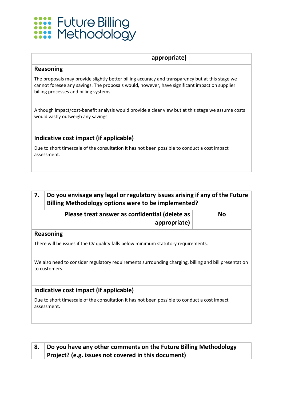

| appropriate)                                                                                                                                                                                                                                |  |  |
|---------------------------------------------------------------------------------------------------------------------------------------------------------------------------------------------------------------------------------------------|--|--|
| Reasoning                                                                                                                                                                                                                                   |  |  |
| The proposals may provide slightly better billing accuracy and transparency but at this stage we<br>cannot foresee any savings. The proposals would, however, have significant impact on supplier<br>billing processes and billing systems. |  |  |
| A though impact/cost-benefit analysis would provide a clear view but at this stage we assume costs<br>would vastly outweigh any savings.                                                                                                    |  |  |
| Indicative cost impact (if applicable)                                                                                                                                                                                                      |  |  |
| Due to short timescale of the consultation it has not been possible to conduct a cost impact<br>assessment.                                                                                                                                 |  |  |

| 7. | Do you envisage any legal or regulatory issues arising if any of the Future<br>Billing Methodology options were to be implemented? |           |  |
|----|------------------------------------------------------------------------------------------------------------------------------------|-----------|--|
|    | Please treat answer as confidential (delete as<br>appropriate)                                                                     | <b>No</b> |  |
|    | Reasoning                                                                                                                          |           |  |
|    | There will be issues if the CV quality falls below minimum statutory requirements.                                                 |           |  |
|    | We also need to consider regulatory requirements surrounding charging, billing and bill presentation<br>to customers.              |           |  |
|    | Indicative cost impact (if applicable)                                                                                             |           |  |
|    | Due to short timescale of the consultation it has not been possible to conduct a cost impact                                       |           |  |

assessment.

#### **8. Do you have any other comments on the Future Billing Methodology Project? (e.g. issues not covered in this document)**